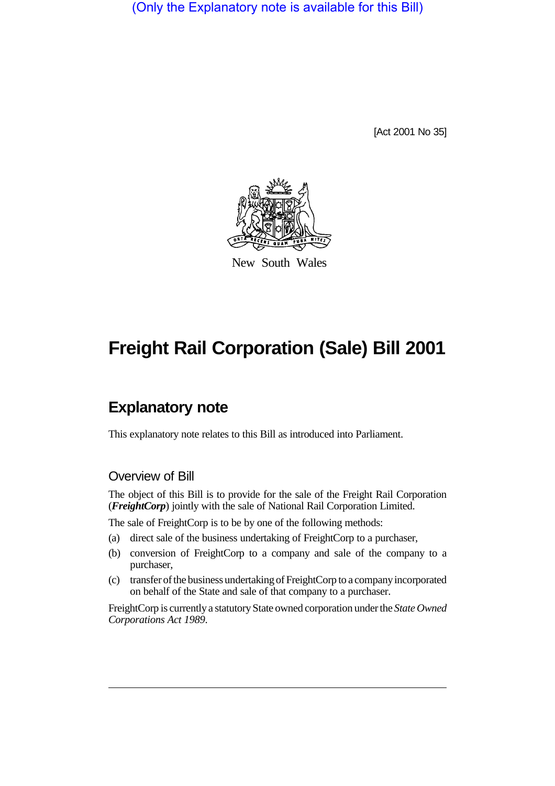(Only the Explanatory note is available for this Bill)

[Act 2001 No 35]



New South Wales

# **Freight Rail Corporation (Sale) Bill 2001**

# **Explanatory note**

This explanatory note relates to this Bill as introduced into Parliament.

#### Overview of Bill

The object of this Bill is to provide for the sale of the Freight Rail Corporation (*FreightCorp*) jointly with the sale of National Rail Corporation Limited.

The sale of FreightCorp is to be by one of the following methods:

- (a) direct sale of the business undertaking of FreightCorp to a purchaser,
- (b) conversion of FreightCorp to a company and sale of the company to a purchaser,
- (c) transfer of the business undertaking of FreightCorp to a company incorporated on behalf of the State and sale of that company to a purchaser.

FreightCorp is currently a statutory State owned corporation under the *State Owned Corporations Act 1989*.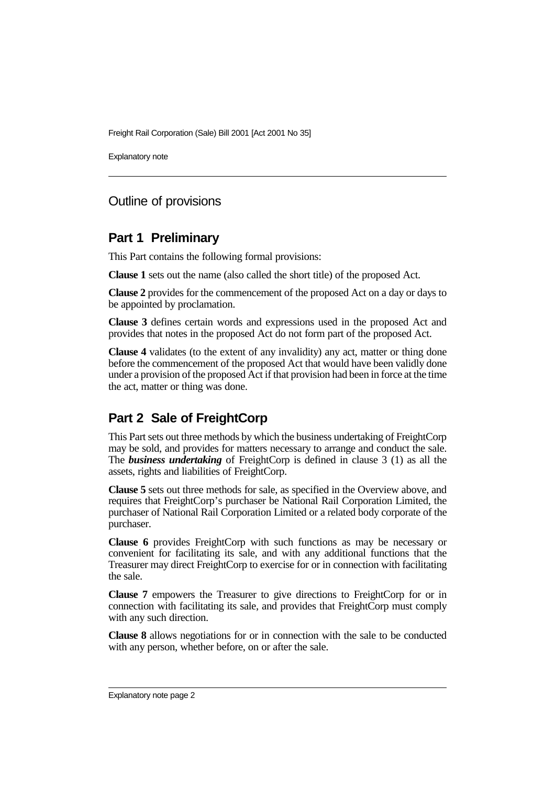Explanatory note

## Outline of provisions

#### **Part 1 Preliminary**

This Part contains the following formal provisions:

**Clause 1** sets out the name (also called the short title) of the proposed Act.

**Clause 2** provides for the commencement of the proposed Act on a day or days to be appointed by proclamation.

**Clause 3** defines certain words and expressions used in the proposed Act and provides that notes in the proposed Act do not form part of the proposed Act.

**Clause 4** validates (to the extent of any invalidity) any act, matter or thing done before the commencement of the proposed Act that would have been validly done under a provision of the proposed Act if that provision had been in force at the time the act, matter or thing was done.

## **Part 2 Sale of FreightCorp**

This Part sets out three methods by which the business undertaking of FreightCorp may be sold, and provides for matters necessary to arrange and conduct the sale. The *business undertaking* of FreightCorp is defined in clause 3 (1) as all the assets, rights and liabilities of FreightCorp.

**Clause 5** sets out three methods for sale, as specified in the Overview above, and requires that FreightCorp's purchaser be National Rail Corporation Limited, the purchaser of National Rail Corporation Limited or a related body corporate of the purchaser.

**Clause 6** provides FreightCorp with such functions as may be necessary or convenient for facilitating its sale, and with any additional functions that the Treasurer may direct FreightCorp to exercise for or in connection with facilitating the sale.

**Clause 7** empowers the Treasurer to give directions to FreightCorp for or in connection with facilitating its sale, and provides that FreightCorp must comply with any such direction.

**Clause 8** allows negotiations for or in connection with the sale to be conducted with any person, whether before, on or after the sale.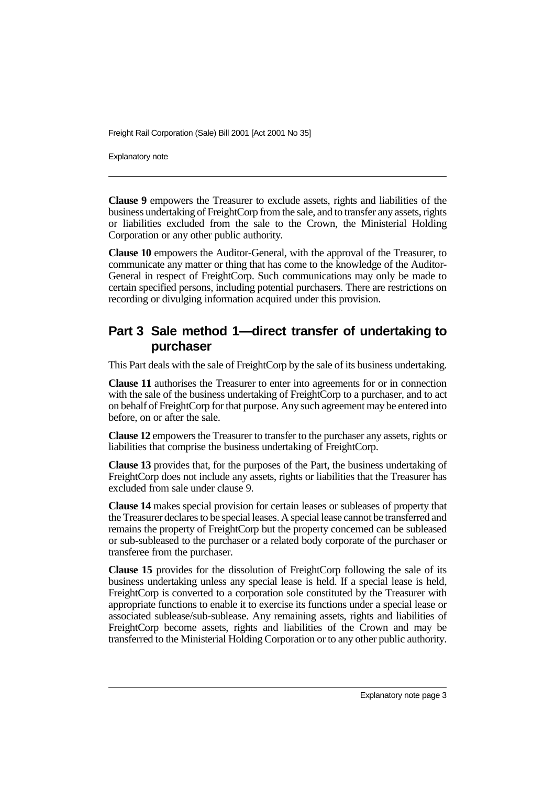Explanatory note

**Clause 9** empowers the Treasurer to exclude assets, rights and liabilities of the business undertaking of FreightCorp from the sale, and to transfer any assets, rights or liabilities excluded from the sale to the Crown, the Ministerial Holding Corporation or any other public authority.

**Clause 10** empowers the Auditor-General, with the approval of the Treasurer, to communicate any matter or thing that has come to the knowledge of the Auditor-General in respect of FreightCorp. Such communications may only be made to certain specified persons, including potential purchasers. There are restrictions on recording or divulging information acquired under this provision.

## **Part 3 Sale method 1—direct transfer of undertaking to purchaser**

This Part deals with the sale of FreightCorp by the sale of its business undertaking.

**Clause 11** authorises the Treasurer to enter into agreements for or in connection with the sale of the business undertaking of FreightCorp to a purchaser, and to act on behalf of FreightCorp for that purpose. Any such agreement may be entered into before, on or after the sale.

**Clause 12** empowers the Treasurer to transfer to the purchaser any assets, rights or liabilities that comprise the business undertaking of FreightCorp.

**Clause 13** provides that, for the purposes of the Part, the business undertaking of FreightCorp does not include any assets, rights or liabilities that the Treasurer has excluded from sale under clause 9.

**Clause 14** makes special provision for certain leases or subleases of property that the Treasurer declares to be special leases. A special lease cannot be transferred and remains the property of FreightCorp but the property concerned can be subleased or sub-subleased to the purchaser or a related body corporate of the purchaser or transferee from the purchaser.

**Clause 15** provides for the dissolution of FreightCorp following the sale of its business undertaking unless any special lease is held. If a special lease is held, FreightCorp is converted to a corporation sole constituted by the Treasurer with appropriate functions to enable it to exercise its functions under a special lease or associated sublease/sub-sublease. Any remaining assets, rights and liabilities of FreightCorp become assets, rights and liabilities of the Crown and may be transferred to the Ministerial Holding Corporation or to any other public authority.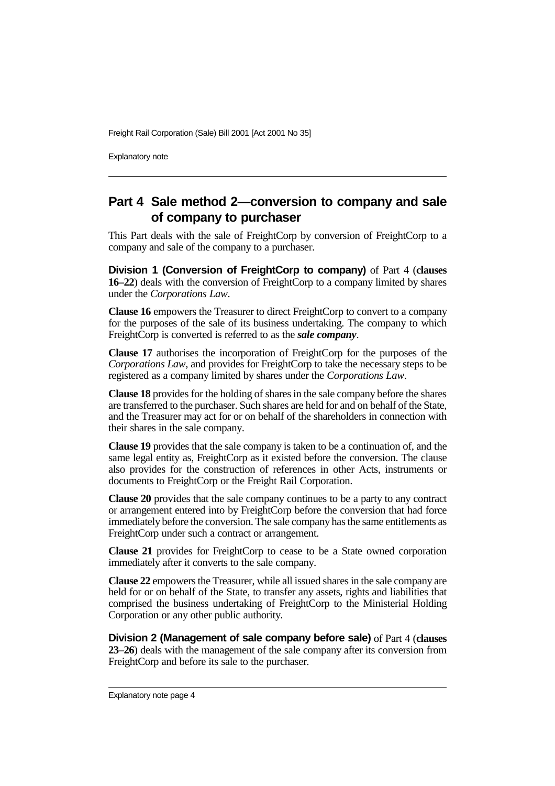Explanatory note

# **Part 4 Sale method 2—conversion to company and sale of company to purchaser**

This Part deals with the sale of FreightCorp by conversion of FreightCorp to a company and sale of the company to a purchaser.

**Division 1 (Conversion of FreightCorp to company)** of Part 4 (**clauses 16–22**) deals with the conversion of FreightCorp to a company limited by shares under the *Corporations Law*.

**Clause 16** empowers the Treasurer to direct FreightCorp to convert to a company for the purposes of the sale of its business undertaking. The company to which FreightCorp is converted is referred to as the *sale company*.

**Clause 17** authorises the incorporation of FreightCorp for the purposes of the *Corporations Law*, and provides for FreightCorp to take the necessary steps to be registered as a company limited by shares under the *Corporations Law*.

**Clause 18** provides for the holding of shares in the sale company before the shares are transferred to the purchaser. Such shares are held for and on behalf of the State, and the Treasurer may act for or on behalf of the shareholders in connection with their shares in the sale company.

**Clause 19** provides that the sale company is taken to be a continuation of, and the same legal entity as, FreightCorp as it existed before the conversion. The clause also provides for the construction of references in other Acts, instruments or documents to FreightCorp or the Freight Rail Corporation.

**Clause 20** provides that the sale company continues to be a party to any contract or arrangement entered into by FreightCorp before the conversion that had force immediately before the conversion. The sale company has the same entitlements as FreightCorp under such a contract or arrangement.

**Clause 21** provides for FreightCorp to cease to be a State owned corporation immediately after it converts to the sale company.

**Clause 22** empowers the Treasurer, while all issued shares in the sale company are held for or on behalf of the State, to transfer any assets, rights and liabilities that comprised the business undertaking of FreightCorp to the Ministerial Holding Corporation or any other public authority.

**Division 2 (Management of sale company before sale)** of Part 4 (**clauses 23–26**) deals with the management of the sale company after its conversion from FreightCorp and before its sale to the purchaser.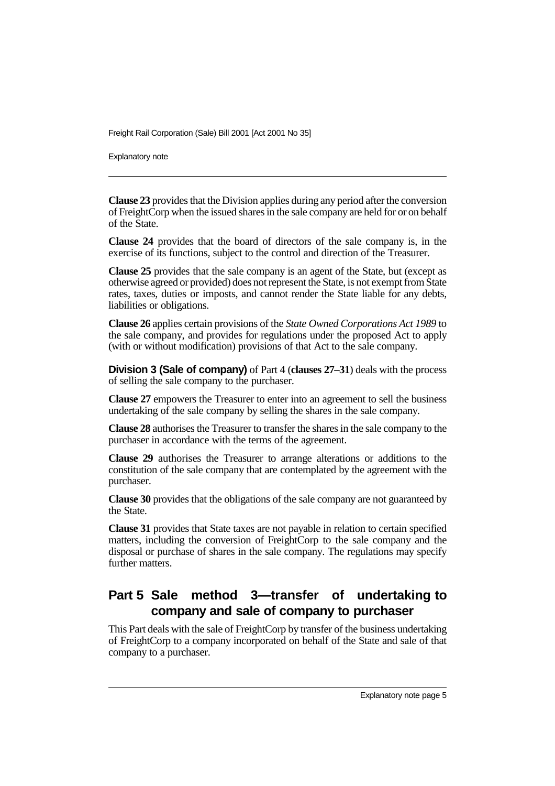Explanatory note

**Clause 23** provides that the Division applies during any period after the conversion of FreightCorp when the issued shares in the sale company are held for or on behalf of the State.

**Clause 24** provides that the board of directors of the sale company is, in the exercise of its functions, subject to the control and direction of the Treasurer.

**Clause 25** provides that the sale company is an agent of the State, but (except as otherwise agreed or provided) does not represent the State, is not exempt from State rates, taxes, duties or imposts, and cannot render the State liable for any debts, liabilities or obligations.

**Clause 26** applies certain provisions of the *State Owned Corporations Act 1989* to the sale company, and provides for regulations under the proposed Act to apply (with or without modification) provisions of that Act to the sale company.

**Division 3 (Sale of company)** of Part 4 (**clauses 27–31**) deals with the process of selling the sale company to the purchaser.

**Clause 27** empowers the Treasurer to enter into an agreement to sell the business undertaking of the sale company by selling the shares in the sale company.

**Clause 28** authorises the Treasurer to transfer the shares in the sale company to the purchaser in accordance with the terms of the agreement.

**Clause 29** authorises the Treasurer to arrange alterations or additions to the constitution of the sale company that are contemplated by the agreement with the purchaser.

**Clause 30** provides that the obligations of the sale company are not guaranteed by the State.

**Clause 31** provides that State taxes are not payable in relation to certain specified matters, including the conversion of FreightCorp to the sale company and the disposal or purchase of shares in the sale company. The regulations may specify further matters.

# **Part 5 Sale method 3—transfer of undertaking to company and sale of company to purchaser**

This Part deals with the sale of FreightCorp by transfer of the business undertaking of FreightCorp to a company incorporated on behalf of the State and sale of that company to a purchaser.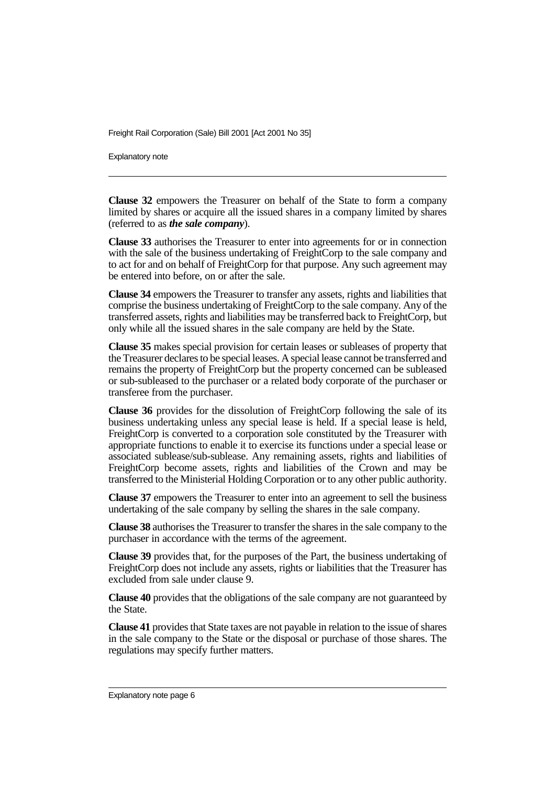Explanatory note

**Clause 32** empowers the Treasurer on behalf of the State to form a company limited by shares or acquire all the issued shares in a company limited by shares (referred to as *the sale company*).

**Clause 33** authorises the Treasurer to enter into agreements for or in connection with the sale of the business undertaking of FreightCorp to the sale company and to act for and on behalf of FreightCorp for that purpose. Any such agreement may be entered into before, on or after the sale.

**Clause 34** empowers the Treasurer to transfer any assets, rights and liabilities that comprise the business undertaking of FreightCorp to the sale company. Any of the transferred assets, rights and liabilities may be transferred back to FreightCorp, but only while all the issued shares in the sale company are held by the State.

**Clause 35** makes special provision for certain leases or subleases of property that the Treasurer declares to be special leases. A special lease cannot be transferred and remains the property of FreightCorp but the property concerned can be subleased or sub-subleased to the purchaser or a related body corporate of the purchaser or transferee from the purchaser.

**Clause 36** provides for the dissolution of FreightCorp following the sale of its business undertaking unless any special lease is held. If a special lease is held, FreightCorp is converted to a corporation sole constituted by the Treasurer with appropriate functions to enable it to exercise its functions under a special lease or associated sublease/sub-sublease. Any remaining assets, rights and liabilities of FreightCorp become assets, rights and liabilities of the Crown and may be transferred to the Ministerial Holding Corporation or to any other public authority.

**Clause 37** empowers the Treasurer to enter into an agreement to sell the business undertaking of the sale company by selling the shares in the sale company.

**Clause 38** authorises the Treasurer to transfer the shares in the sale company to the purchaser in accordance with the terms of the agreement.

**Clause 39** provides that, for the purposes of the Part, the business undertaking of FreightCorp does not include any assets, rights or liabilities that the Treasurer has excluded from sale under clause 9.

**Clause 40** provides that the obligations of the sale company are not guaranteed by the State.

**Clause 41** provides that State taxes are not payable in relation to the issue of shares in the sale company to the State or the disposal or purchase of those shares. The regulations may specify further matters.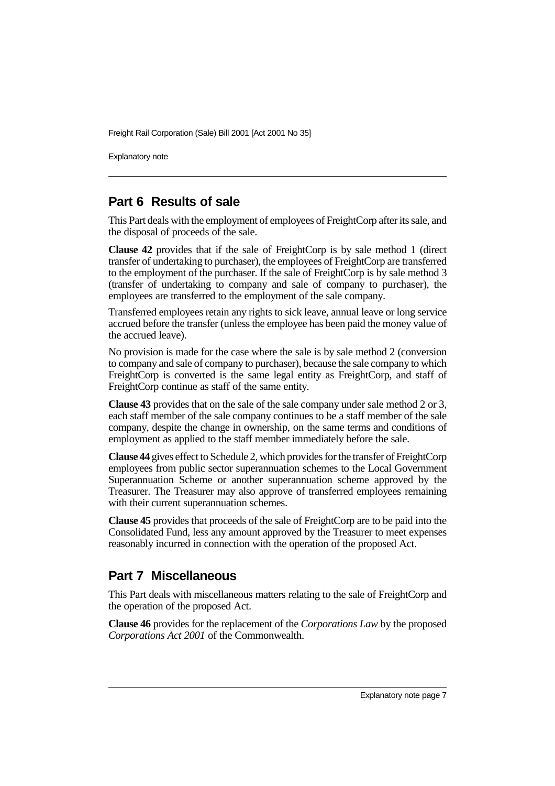Explanatory note

## **Part 6 Results of sale**

This Part deals with the employment of employees of FreightCorp after its sale, and the disposal of proceeds of the sale.

**Clause 42** provides that if the sale of FreightCorp is by sale method 1 (direct transfer of undertaking to purchaser), the employees of FreightCorp are transferred to the employment of the purchaser. If the sale of FreightCorp is by sale method 3 (transfer of undertaking to company and sale of company to purchaser), the employees are transferred to the employment of the sale company.

Transferred employees retain any rights to sick leave, annual leave or long service accrued before the transfer (unless the employee has been paid the money value of the accrued leave).

No provision is made for the case where the sale is by sale method 2 (conversion to company and sale of company to purchaser), because the sale company to which FreightCorp is converted is the same legal entity as FreightCorp, and staff of FreightCorp continue as staff of the same entity.

**Clause 43** provides that on the sale of the sale company under sale method 2 or 3, each staff member of the sale company continues to be a staff member of the sale company, despite the change in ownership, on the same terms and conditions of employment as applied to the staff member immediately before the sale.

**Clause 44** gives effect to Schedule 2, which provides for the transfer of FreightCorp employees from public sector superannuation schemes to the Local Government Superannuation Scheme or another superannuation scheme approved by the Treasurer. The Treasurer may also approve of transferred employees remaining with their current superannuation schemes.

**Clause 45** provides that proceeds of the sale of FreightCorp are to be paid into the Consolidated Fund, less any amount approved by the Treasurer to meet expenses reasonably incurred in connection with the operation of the proposed Act.

## **Part 7 Miscellaneous**

This Part deals with miscellaneous matters relating to the sale of FreightCorp and the operation of the proposed Act.

**Clause 46** provides for the replacement of the *Corporations Law* by the proposed *Corporations Act 2001* of the Commonwealth.